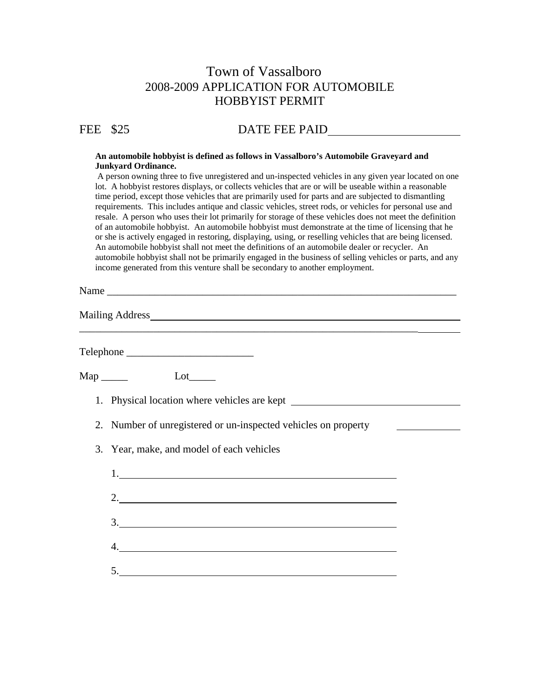## Town of Vassalboro 2008-2009 APPLICATION FOR AUTOMOBILE HOBBYIST PERMIT

## FEE \$25 DATE FEE PAID

## **An automobile hobbyist is defined as follows in Vassalboro's Automobile Graveyard and Junkyard Ordinance.**

A person owning three to five unregistered and un-inspected vehicles in any given year located on one lot. A hobbyist restores displays, or collects vehicles that are or will be useable within a reasonable time period, except those vehicles that are primarily used for parts and are subjected to dismantling requirements. This includes antique and classic vehicles, street rods, or vehicles for personal use and resale. A person who uses their lot primarily for storage of these vehicles does not meet the definition of an automobile hobbyist. An automobile hobbyist must demonstrate at the time of licensing that he or she is actively engaged in restoring, displaying, using, or reselling vehicles that are being licensed. An automobile hobbyist shall not meet the definitions of an automobile dealer or recycler. An automobile hobbyist shall not be primarily engaged in the business of selling vehicles or parts, and any income generated from this venture shall be secondary to another employment.

Name \_\_\_\_\_\_\_\_\_\_\_\_\_\_\_\_\_\_\_\_\_\_\_\_\_\_\_\_\_\_\_\_\_\_\_\_\_\_\_\_\_\_\_\_\_\_\_\_\_\_\_\_\_\_\_\_\_\_\_\_\_\_\_\_\_\_

Mailing Address

Telephone \_\_\_\_\_\_\_\_\_\_\_\_\_\_\_\_\_\_\_\_\_\_\_\_

Map Lot Lot

- 1. Physical location where vehicles are kept
- 2. Number of unregistered or un-inspected vehicles on property

\_\_\_\_\_\_\_\_\_\_\_\_\_\_\_\_\_\_\_\_\_\_\_\_\_\_\_\_\_\_\_\_\_\_\_\_\_\_\_\_\_\_\_\_\_\_\_\_\_\_\_\_\_\_\_\_\_\_\_\_\_\_\_\_

3. Year, make, and model of each vehicles

| 1.                                                             |  |  |  |
|----------------------------------------------------------------|--|--|--|
| $2. \underline{\hspace{2.0cm}}$                                |  |  |  |
| $\frac{3}{2}$                                                  |  |  |  |
| $\begin{array}{c}\n4. \quad \text{---} \\ \hline\n\end{array}$ |  |  |  |
| $\begin{array}{c}\n5.\n\end{array}$                            |  |  |  |